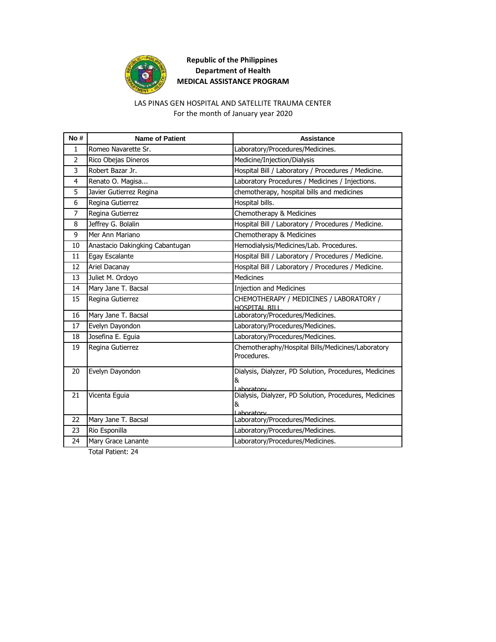

## LAS PINAS GEN HOSPITAL AND SATELLITE TRAUMA CENTER

For the month of January year 2020

| No#            | <b>Name of Patient</b>          | <b>Assistance</b>                                                         |
|----------------|---------------------------------|---------------------------------------------------------------------------|
| $\mathbf{1}$   | Romeo Navarette Sr.             | Laboratory/Procedures/Medicines.                                          |
| 2              | Rico Obejas Dineros             | Medicine/Injection/Dialysis                                               |
| $\overline{3}$ | Robert Bazar Jr.                | Hospital Bill / Laboratory / Procedures / Medicine.                       |
| 4              | Renato O. Magisa                | Laboratory Procedures / Medicines / Injections.                           |
| 5              | Javier Gutierrez Regina         | chemotherapy, hospital bills and medicines                                |
| 6              | Regina Gutierrez                | Hospital bills.                                                           |
| $\overline{7}$ | Regina Gutierrez                | Chemotherapy & Medicines                                                  |
| 8              | Jeffrey G. Bolalin              | Hospital Bill / Laboratory / Procedures / Medicine.                       |
| 9              | Mer Ann Mariano                 | Chemotherapy & Medicines                                                  |
| 10             | Anastacio Dakingking Cabantugan | Hemodialysis/Medicines/Lab. Procedures.                                   |
| 11             | Egay Escalante                  | Hospital Bill / Laboratory / Procedures / Medicine.                       |
| 12             | Ariel Dacanay                   | Hospital Bill / Laboratory / Procedures / Medicine.                       |
| 13             | Juliet M. Ordoyo                | <b>Medicines</b>                                                          |
| 14             | Mary Jane T. Bacsal             | <b>Injection and Medicines</b>                                            |
| 15             | Regina Gutierrez                | CHEMOTHERAPY / MEDICINES / LABORATORY /<br><b>HOSPITAL BILL</b>           |
| 16             | Mary Jane T. Bacsal             | Laboratory/Procedures/Medicines.                                          |
| 17             | Evelyn Dayondon                 | Laboratory/Procedures/Medicines.                                          |
| 18             | Josefina E. Eguia               | Laboratory/Procedures/Medicines.                                          |
| 19             | Regina Gutierrez                | Chemotheraphy/Hospital Bills/Medicines/Laboratory<br>Procedures.          |
| 20             | Evelyn Dayondon                 | Dialysis, Dialyzer, PD Solution, Procedures, Medicines<br>&<br>Lahoratory |
| 21             | Vicenta Eguia                   | Dialysis, Dialyzer, PD Solution, Procedures, Medicines<br>&<br>ahoratory  |
| 22             | Mary Jane T. Bacsal             | Laboratory/Procedures/Medicines.                                          |
| 23             | Rio Esponilla                   | Laboratory/Procedures/Medicines.                                          |
| 24             | Mary Grace Lanante              | Laboratory/Procedures/Medicines.                                          |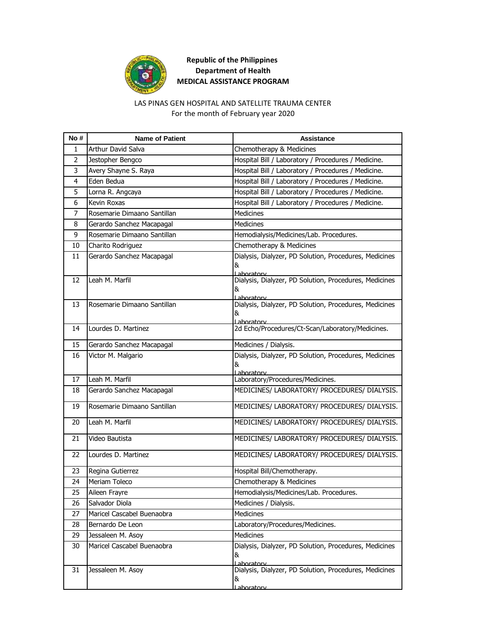

# LAS PINAS GEN HOSPITAL AND SATELLITE TRAUMA CENTER

For the month of February year 2020

| No#          | <b>Name of Patient</b>      | Assistance                                                                 |
|--------------|-----------------------------|----------------------------------------------------------------------------|
| $\mathbf{1}$ | <b>Arthur David Salva</b>   | Chemotherapy & Medicines                                                   |
| 2            | Jestopher Bengco            | Hospital Bill / Laboratory / Procedures / Medicine.                        |
| 3            | Avery Shayne S. Raya        | Hospital Bill / Laboratory / Procedures / Medicine.                        |
| 4            | Eden Bedua                  | Hospital Bill / Laboratory / Procedures / Medicine.                        |
| 5            | Lorna R. Angcaya            | Hospital Bill / Laboratory / Procedures / Medicine.                        |
| 6            | Kevin Roxas                 | Hospital Bill / Laboratory / Procedures / Medicine.                        |
| 7            | Rosemarie Dimaano Santillan | <b>Medicines</b>                                                           |
| 8            | Gerardo Sanchez Macapagal   | <b>Medicines</b>                                                           |
| 9            | Rosemarie Dimaano Santillan | Hemodialysis/Medicines/Lab. Procedures.                                    |
| 10           | Charito Rodriguez           | Chemotherapy & Medicines                                                   |
| 11           | Gerardo Sanchez Macapagal   | Dialysis, Dialyzer, PD Solution, Procedures, Medicines<br>&<br>Lahoratory  |
| 12           | Leah M. Marfil              | Dialysis, Dialyzer, PD Solution, Procedures, Medicines<br>&<br>I aboratory |
| 13           | Rosemarie Dimaano Santillan | Dialysis, Dialyzer, PD Solution, Procedures, Medicines<br>&<br>Laboratory  |
| 14           | Lourdes D. Martinez         | 2d Echo/Procedures/Ct-Scan/Laboratory/Medicines.                           |
| 15           | Gerardo Sanchez Macapagal   | Medicines / Dialysis.                                                      |
| 16           | Victor M. Malgario          | Dialysis, Dialyzer, PD Solution, Procedures, Medicines<br>&<br>Laboratory  |
| 17           | Leah M. Marfil              | Laboratory/Procedures/Medicines.                                           |
| 18           | Gerardo Sanchez Macapagal   | MEDICINES/ LABORATORY/ PROCEDURES/ DIALYSIS.                               |
| 19           | Rosemarie Dimaano Santillan | MEDICINES/ LABORATORY/ PROCEDURES/ DIALYSIS.                               |
| 20           | Leah M. Marfil              | MEDICINES/ LABORATORY/ PROCEDURES/ DIALYSIS.                               |
| 21           | Video Bautista              | MEDICINES/ LABORATORY/ PROCEDURES/ DIALYSIS.                               |
| 22           | Lourdes D. Martinez         | MEDICINES/ LABORATORY/ PROCEDURES/ DIALYSIS.                               |
| 23           | Regina Gutierrez            | Hospital Bill/Chemotherapy.                                                |
| 24           | Meriam Toleco               | Chemotherapy & Medicines                                                   |
| 25           | Aileen Frayre               | Hemodialysis/Medicines/Lab. Procedures.                                    |
| 26           | Salvador Diola              | Medicines / Dialysis.                                                      |
| 27           | Maricel Cascabel Buenaobra  | <b>Medicines</b>                                                           |
| 28           | Bernardo De Leon            | Laboratory/Procedures/Medicines.                                           |
| 29           | Jessaleen M. Asoy           | Medicines                                                                  |
| 30           | Maricel Cascabel Buenaobra  | Dialysis, Dialyzer, PD Solution, Procedures, Medicines<br>&<br>Laboratory  |
| 31           | Jessaleen M. Asoy           | Dialysis, Dialyzer, PD Solution, Procedures, Medicines<br>&<br>Laboratory  |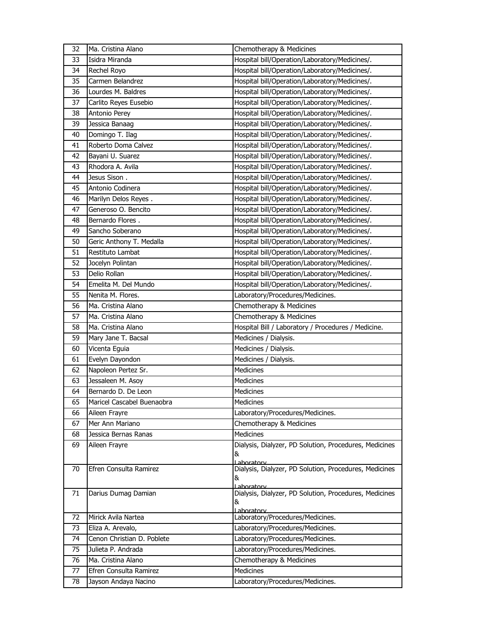| 32 | Ma. Cristina Alano         | Chemotherapy & Medicines                                             |
|----|----------------------------|----------------------------------------------------------------------|
| 33 | Isidra Miranda             | Hospital bill/Operation/Laboratory/Medicines/.                       |
| 34 | Rechel Royo                | Hospital bill/Operation/Laboratory/Medicines/.                       |
| 35 | Carmen Belandrez           | Hospital bill/Operation/Laboratory/Medicines/.                       |
| 36 | Lourdes M. Baldres         | Hospital bill/Operation/Laboratory/Medicines/.                       |
| 37 | Carlito Reyes Eusebio      | Hospital bill/Operation/Laboratory/Medicines/.                       |
| 38 | Antonio Perey              | Hospital bill/Operation/Laboratory/Medicines/.                       |
| 39 | Jessica Banaag             | Hospital bill/Operation/Laboratory/Medicines/.                       |
| 40 | Domingo T. Ilag            | Hospital bill/Operation/Laboratory/Medicines/.                       |
| 41 | Roberto Doma Calvez        | Hospital bill/Operation/Laboratory/Medicines/.                       |
| 42 | Bayani U. Suarez           | Hospital bill/Operation/Laboratory/Medicines/.                       |
| 43 | Rhodora A. Avila           | Hospital bill/Operation/Laboratory/Medicines/.                       |
| 44 | Jesus Sison.               | Hospital bill/Operation/Laboratory/Medicines/.                       |
| 45 | Antonio Codinera           | Hospital bill/Operation/Laboratory/Medicines/.                       |
| 46 | Marilyn Delos Reyes.       | Hospital bill/Operation/Laboratory/Medicines/.                       |
| 47 | Generoso O. Bencito        | Hospital bill/Operation/Laboratory/Medicines/.                       |
| 48 | Bernardo Flores.           | Hospital bill/Operation/Laboratory/Medicines/.                       |
| 49 | Sancho Soberano            | Hospital bill/Operation/Laboratory/Medicines/.                       |
| 50 | Geric Anthony T. Medalla   | Hospital bill/Operation/Laboratory/Medicines/.                       |
| 51 | Restituto Lambat           | Hospital bill/Operation/Laboratory/Medicines/.                       |
| 52 | Jocelyn Polintan           | Hospital bill/Operation/Laboratory/Medicines/.                       |
| 53 | Delio Rollan               | Hospital bill/Operation/Laboratory/Medicines/.                       |
| 54 | Emelita M. Del Mundo       | Hospital bill/Operation/Laboratory/Medicines/.                       |
| 55 | Nenita M. Flores.          | Laboratory/Procedures/Medicines.                                     |
| 56 | Ma. Cristina Alano         | Chemotherapy & Medicines                                             |
| 57 | Ma. Cristina Alano         | Chemotherapy & Medicines                                             |
| 58 | Ma. Cristina Alano         | Hospital Bill / Laboratory / Procedures / Medicine.                  |
| 59 | Mary Jane T. Bacsal        | Medicines / Dialysis.                                                |
| 60 | Vicenta Eguia              | Medicines / Dialysis.                                                |
| 61 | Evelyn Dayondon            | Medicines / Dialysis.                                                |
| 62 | Napoleon Pertez Sr.        | Medicines                                                            |
| 63 | Jessaleen M. Asoy          | Medicines                                                            |
| 64 | Bernardo D. De Leon        | Medicines                                                            |
| 65 | Maricel Cascabel Buenaobra | Medicines                                                            |
| 66 | Aileen Frayre              | Laboratory/Procedures/Medicines.                                     |
| 67 | Mer Ann Mariano            | Chemotherapy & Medicines                                             |
| 68 | Jessica Bernas Ranas       | Medicines                                                            |
| 69 | Aileen Frayre              | Dialysis, Dialyzer, PD Solution, Procedures, Medicines               |
|    |                            | &<br>Laboratory                                                      |
| 70 | Efren Consulta Ramirez     | Dialysis, Dialyzer, PD Solution, Procedures, Medicines               |
|    |                            | &                                                                    |
| 71 | Darius Dumag Damian        | Laboratory<br>Dialysis, Dialyzer, PD Solution, Procedures, Medicines |
|    |                            | &                                                                    |
|    |                            | Laboratory                                                           |
| 72 | Mirick Avila Nartea        | Laboratory/Procedures/Medicines.                                     |
| 73 | Eliza A. Arevalo,          | Laboratory/Procedures/Medicines.                                     |
| 74 | Cenon Christian D. Poblete | Laboratory/Procedures/Medicines.                                     |
| 75 | Julieta P. Andrada         | Laboratory/Procedures/Medicines.                                     |
| 76 | Ma. Cristina Alano         | Chemotherapy & Medicines                                             |
| 77 | Efren Consulta Ramirez     | Medicines                                                            |
| 78 | Jayson Andaya Nacino       | Laboratory/Procedures/Medicines.                                     |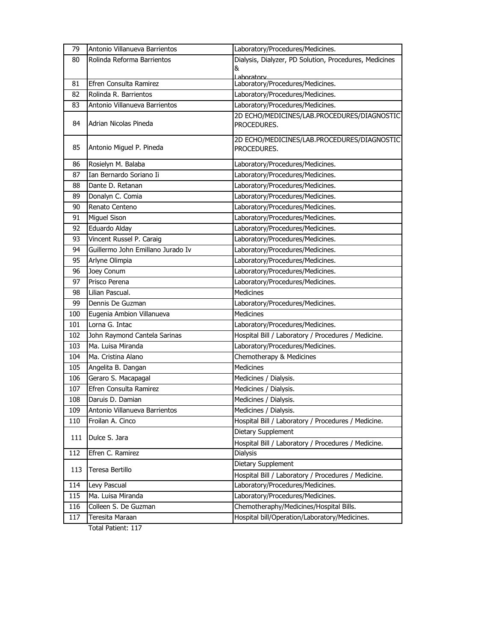| 79  | Antonio Villanueva Barrientos     | Laboratory/Procedures/Medicines.                           |
|-----|-----------------------------------|------------------------------------------------------------|
| 80  | Rolinda Reforma Barrientos        | Dialysis, Dialyzer, PD Solution, Procedures, Medicines     |
|     |                                   | &                                                          |
| 81  | Efren Consulta Ramirez            | Laboratory<br>Laboratory/Procedures/Medicines.             |
| 82  | Rolinda R. Barrientos             | Laboratory/Procedures/Medicines.                           |
| 83  | Antonio Villanueva Barrientos     | Laboratory/Procedures/Medicines.                           |
|     |                                   | 2D ECHO/MEDICINES/LAB.PROCEDURES/DIAGNOSTIC                |
| 84  | Adrian Nicolas Pineda             | PROCEDURES.                                                |
| 85  | Antonio Miguel P. Pineda          | 2D ECHO/MEDICINES/LAB.PROCEDURES/DIAGNOSTIC<br>PROCEDURES. |
|     |                                   |                                                            |
| 86  | Rosielyn M. Balaba                | Laboratory/Procedures/Medicines.                           |
| 87  | Ian Bernardo Soriano Ii           | Laboratory/Procedures/Medicines.                           |
| 88  | Dante D. Retanan                  | Laboratory/Procedures/Medicines.                           |
| 89  | Donalyn C. Comia                  | Laboratory/Procedures/Medicines.                           |
| 90  | Renato Centeno                    | Laboratory/Procedures/Medicines.                           |
| 91  | Miguel Sison                      | Laboratory/Procedures/Medicines.                           |
| 92  | Eduardo Alday                     | Laboratory/Procedures/Medicines.                           |
| 93  | Vincent Russel P. Caraig          | Laboratory/Procedures/Medicines.                           |
| 94  | Guillermo John Emillano Jurado Iv | Laboratory/Procedures/Medicines.                           |
| 95  | Arlyne Olimpia                    | Laboratory/Procedures/Medicines.                           |
| 96  | Joey Conum                        | Laboratory/Procedures/Medicines.                           |
| 97  | Prisco Perena                     | Laboratory/Procedures/Medicines.                           |
| 98  | Lilian Pascual.                   | <b>Medicines</b>                                           |
| 99  | Dennis De Guzman                  | Laboratory/Procedures/Medicines.                           |
| 100 | Eugenia Ambion Villanueva         | <b>Medicines</b>                                           |
| 101 | Lorna G. Intac                    | Laboratory/Procedures/Medicines.                           |
| 102 | John Raymond Cantela Sarinas      | Hospital Bill / Laboratory / Procedures / Medicine.        |
| 103 | Ma. Luisa Miranda                 | Laboratory/Procedures/Medicines.                           |
| 104 | Ma. Cristina Alano                | Chemotherapy & Medicines                                   |
| 105 | Angelita B. Dangan                | <b>Medicines</b>                                           |
| 106 | Geraro S. Macapagal               | Medicines / Dialysis.                                      |
| 107 | Efren Consulta Ramirez            | Medicines / Dialysis.                                      |
| 108 | Daruis D. Damian                  | Medicines / Dialysis.                                      |
| 109 | Antonio Villanueva Barrientos     | Medicines / Dialysis.                                      |
| 110 | Froilan A. Cinco                  | Hospital Bill / Laboratory / Procedures / Medicine.        |
| 111 | Dulce S. Jara                     | Dietary Supplement                                         |
|     |                                   | Hospital Bill / Laboratory / Procedures / Medicine.        |
| 112 | Efren C. Ramirez                  | <b>Dialysis</b>                                            |
| 113 | Teresa Bertillo                   | Dietary Supplement                                         |
|     |                                   | Hospital Bill / Laboratory / Procedures / Medicine.        |
| 114 | Levy Pascual                      | Laboratory/Procedures/Medicines.                           |
| 115 | Ma. Luisa Miranda                 | Laboratory/Procedures/Medicines.                           |
| 116 | Colleen S. De Guzman              | Chemotheraphy/Medicines/Hospital Bills.                    |
| 117 | Teresita Maraan                   | Hospital bill/Operation/Laboratory/Medicines.              |
|     | Total Patient: 117                |                                                            |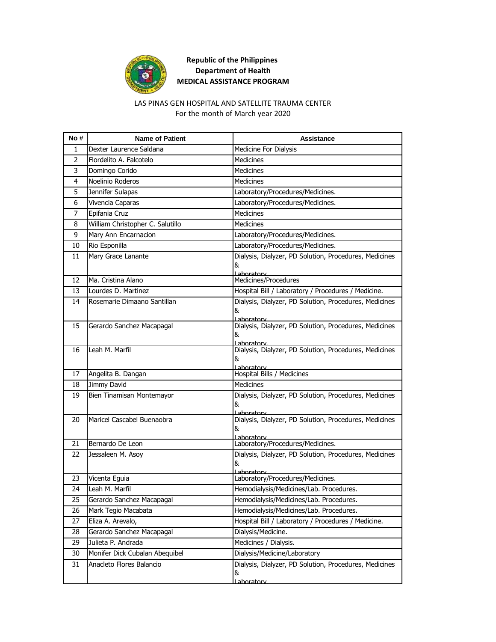

#### For the month of March year 2020 LAS PINAS GEN HOSPITAL AND SATELLITE TRAUMA CENTER

| No # | <b>Name of Patient</b>           | Assistance                                                                 |
|------|----------------------------------|----------------------------------------------------------------------------|
| 1    | Dexter Laurence Saldana          | Medicine For Dialysis                                                      |
| 2    | Flordelito A. Falcotelo          | <b>Medicines</b>                                                           |
| 3    | Domingo Corido                   | <b>Medicines</b>                                                           |
| 4    | Noelinio Roderos                 | <b>Medicines</b>                                                           |
| 5    | Jennifer Sulapas                 | Laboratory/Procedures/Medicines.                                           |
| 6    | Vivencia Caparas                 | Laboratory/Procedures/Medicines.                                           |
| 7    | Epifania Cruz                    | <b>Medicines</b>                                                           |
| 8    | William Christopher C. Salutillo | <b>Medicines</b>                                                           |
| 9    | Mary Ann Encarnacion             | Laboratory/Procedures/Medicines.                                           |
| 10   | Rio Esponilla                    | Laboratory/Procedures/Medicines.                                           |
| 11   | Mary Grace Lanante               | Dialysis, Dialyzer, PD Solution, Procedures, Medicines<br>&<br>Laboratory  |
| 12   | Ma. Cristina Alano               | Medicines/Procedures                                                       |
| 13   | Lourdes D. Martinez              | Hospital Bill / Laboratory / Procedures / Medicine.                        |
| 14   | Rosemarie Dimaano Santillan      | Dialysis, Dialyzer, PD Solution, Procedures, Medicines<br>&<br>aboratory   |
| 15   | Gerardo Sanchez Macapagal        | Dialysis, Dialyzer, PD Solution, Procedures, Medicines<br>&<br>Lahoratory  |
| 16   | Leah M. Marfil                   | Dialysis, Dialyzer, PD Solution, Procedures, Medicines<br>&<br>Laboratory  |
| 17   | Angelita B. Dangan               | Hospital Bills / Medicines                                                 |
| 18   | Jimmy David                      | <b>Medicines</b>                                                           |
| 19   | Bien Tinamisan Montemayor        | Dialysis, Dialyzer, PD Solution, Procedures, Medicines<br>&<br>l aboratory |
| 20   | Maricel Cascabel Buenaobra       | Dialysis, Dialyzer, PD Solution, Procedures, Medicines<br>&<br>Laboratory  |
| 21   | Bernardo De Leon                 | Laboratory/Procedures/Medicines.                                           |
| 22   | Jessaleen M. Asoy                | Dialysis, Dialyzer, PD Solution, Procedures, Medicines<br>8<br>l aboratory |
| 23   | Vicenta Eguia                    | Laboratory/Procedures/Medicines.                                           |
| 24   | Leah M. Marfil                   | Hemodialysis/Medicines/Lab. Procedures.                                    |
| 25   | Gerardo Sanchez Macapagal        | Hemodialysis/Medicines/Lab. Procedures.                                    |
| 26   | Mark Tegio Macabata              | Hemodialysis/Medicines/Lab. Procedures.                                    |
| 27   | Eliza A. Arevalo,                | Hospital Bill / Laboratory / Procedures / Medicine.                        |
| 28   | Gerardo Sanchez Macapagal        | Dialysis/Medicine.                                                         |
| 29   | Julieta P. Andrada               | Medicines / Dialysis.                                                      |
| 30   | Monifer Dick Cubalan Abequibel   | Dialysis/Medicine/Laboratory                                               |
| 31   | Anacleto Flores Balancio         | Dialysis, Dialyzer, PD Solution, Procedures, Medicines<br>&<br>Laboratory  |
|      |                                  |                                                                            |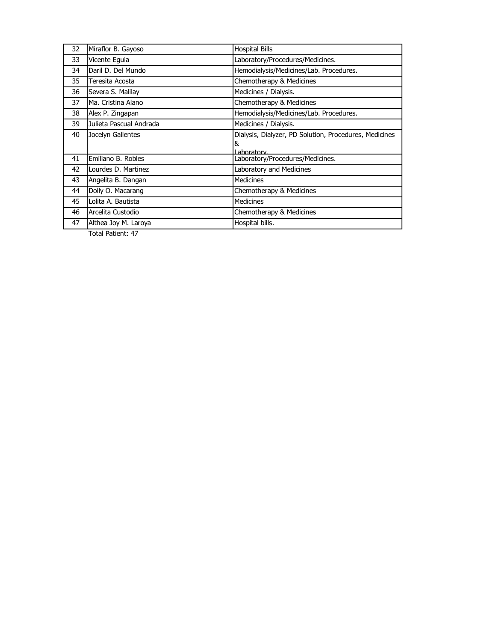| 32 | Miraflor B. Gayoso      | <b>Hospital Bills</b>                                  |
|----|-------------------------|--------------------------------------------------------|
| 33 | Vicente Equia           | Laboratory/Procedures/Medicines.                       |
| 34 | Daril D. Del Mundo      | Hemodialysis/Medicines/Lab. Procedures.                |
| 35 | Teresita Acosta         | Chemotherapy & Medicines                               |
| 36 | Severa S. Malilay       | Medicines / Dialysis.                                  |
| 37 | Ma. Cristina Alano      | Chemotherapy & Medicines                               |
| 38 | Alex P. Zingapan        | Hemodialysis/Medicines/Lab. Procedures.                |
| 39 | Julieta Pascual Andrada | Medicines / Dialysis.                                  |
| 40 | Jocelyn Gallentes       | Dialysis, Dialyzer, PD Solution, Procedures, Medicines |
|    |                         | &<br>I aboratory                                       |
| 41 | Emiliano B. Robles      | Laboratory/Procedures/Medicines.                       |
| 42 | Lourdes D. Martinez     | Laboratory and Medicines                               |
| 43 | Angelita B. Dangan      | <b>Medicines</b>                                       |
| 44 | Dolly O. Macarang       | Chemotherapy & Medicines                               |
| 45 | Lolita A. Bautista      | <b>Medicines</b>                                       |
| 46 | Arcelita Custodio       | Chemotherapy & Medicines                               |
| 47 | Althea Joy M. Laroya    | Hospital bills.                                        |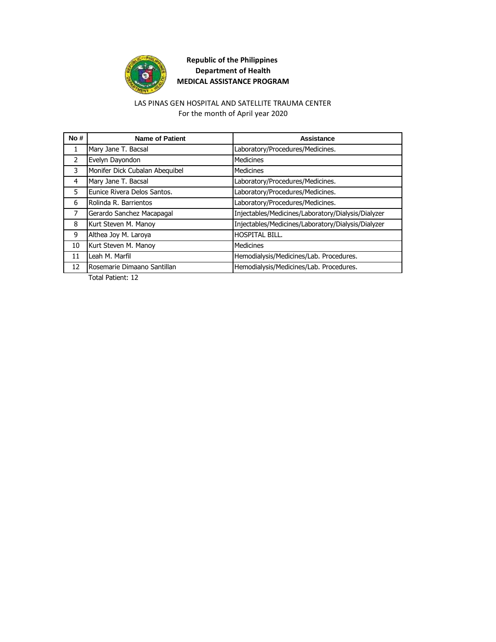

#### For the month of April year 2020 LAS PINAS GEN HOSPITAL AND SATELLITE TRAUMA CENTER

| No# | <b>Name of Patient</b>         | Assistance                                         |
|-----|--------------------------------|----------------------------------------------------|
| 1   | Mary Jane T. Bacsal            | Laboratory/Procedures/Medicines.                   |
| 2   | Evelyn Dayondon                | Medicines                                          |
| 3   | Monifer Dick Cubalan Abequibel | Medicines                                          |
| 4   | Mary Jane T. Bacsal            | Laboratory/Procedures/Medicines.                   |
| 5   | Eunice Rivera Delos Santos.    | Laboratory/Procedures/Medicines.                   |
| 6   | Rolinda R. Barrientos          | Laboratory/Procedures/Medicines.                   |
| 7   | Gerardo Sanchez Macapagal      | Injectables/Medicines/Laboratory/Dialysis/Dialyzer |
| 8   | Kurt Steven M. Manoy           | Injectables/Medicines/Laboratory/Dialysis/Dialyzer |
| 9   | Althea Joy M. Laroya           | <b>HOSPITAL BILL.</b>                              |
| 10  | Kurt Steven M. Manoy           | Medicines                                          |
| 11  | Leah M. Marfil                 | Hemodialysis/Medicines/Lab. Procedures.            |
| 12  | Rosemarie Dimaano Santillan    | Hemodialysis/Medicines/Lab. Procedures.            |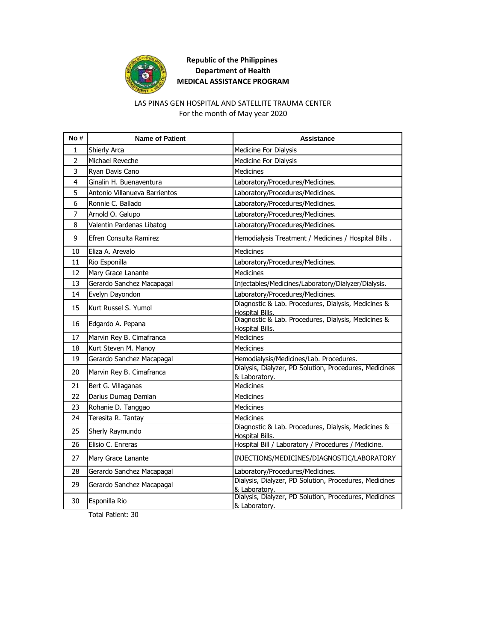

#### For the month of May year 2020 LAS PINAS GEN HOSPITAL AND SATELLITE TRAUMA CENTER

| No #           | <b>Name of Patient</b>        | <b>Assistance</b>                                                             |
|----------------|-------------------------------|-------------------------------------------------------------------------------|
| 1              | Shierly Arca                  | Medicine For Dialysis                                                         |
| $\overline{2}$ | Michael Reveche               | Medicine For Dialysis                                                         |
| 3              | Ryan Davis Cano               | Medicines                                                                     |
| 4              | Ginalin H. Buenaventura       | Laboratory/Procedures/Medicines.                                              |
| 5              | Antonio Villanueva Barrientos | Laboratory/Procedures/Medicines.                                              |
| 6              | Ronnie C. Ballado             | Laboratory/Procedures/Medicines.                                              |
| 7              | Arnold O. Galupo              | Laboratory/Procedures/Medicines.                                              |
| 8              | Valentin Pardenas Libatog     | Laboratory/Procedures/Medicines.                                              |
| 9              | Efren Consulta Ramirez        | Hemodialysis Treatment / Medicines / Hospital Bills.                          |
| 10             | Eliza A. Arevalo              | <b>Medicines</b>                                                              |
| 11             | Rio Esponilla                 | Laboratory/Procedures/Medicines.                                              |
| 12             | Mary Grace Lanante            | <b>Medicines</b>                                                              |
| 13             | Gerardo Sanchez Macapagal     | Injectables/Medicines/Laboratory/Dialyzer/Dialysis.                           |
| 14             | Evelyn Dayondon               | Laboratory/Procedures/Medicines.                                              |
| 15             | Kurt Russel S. Yumol          | Diagnostic & Lab. Procedures, Dialysis, Medicines &<br>Hospital Bills.        |
| 16             | Edgardo A. Pepana             | Diagnostic & Lab. Procedures, Dialysis, Medicines &<br>Hospital Bills.        |
| 17             | Marvin Rey B. Cimafranca      | Medicines                                                                     |
| 18             | Kurt Steven M. Manoy          | <b>Medicines</b>                                                              |
| 19             | Gerardo Sanchez Macapagal     | Hemodialysis/Medicines/Lab. Procedures.                                       |
| 20             | Marvin Rey B. Cimafranca      | Dialysis, Dialyzer, PD Solution, Procedures, Medicines<br>& Laboratory.       |
| 21             | Bert G. Villaganas            | <b>Medicines</b>                                                              |
| 22             | Darius Dumag Damian           | <b>Medicines</b>                                                              |
| 23             | Rohanie D. Tanggao            | <b>Medicines</b>                                                              |
| 24             | Teresita R. Tantay            | Medicines                                                                     |
| 25             | Sherly Raymundo               | Diagnostic & Lab. Procedures, Dialysis, Medicines &<br><b>Hospital Bills.</b> |
| 26             | Elisio C. Enreras             | Hospital Bill / Laboratory / Procedures / Medicine.                           |
| 27             | Mary Grace Lanante            | INJECTIONS/MEDICINES/DIAGNOSTIC/LABORATORY                                    |
| 28             | Gerardo Sanchez Macapagal     | Laboratory/Procedures/Medicines.                                              |
| 29             | Gerardo Sanchez Macapagal     | Dialysis, Dialyzer, PD Solution, Procedures, Medicines<br>& Laboratory.       |
| 30             | Esponilla Rio                 | Dialysis, Dialyzer, PD Solution, Procedures, Medicines<br>& Laboratory.       |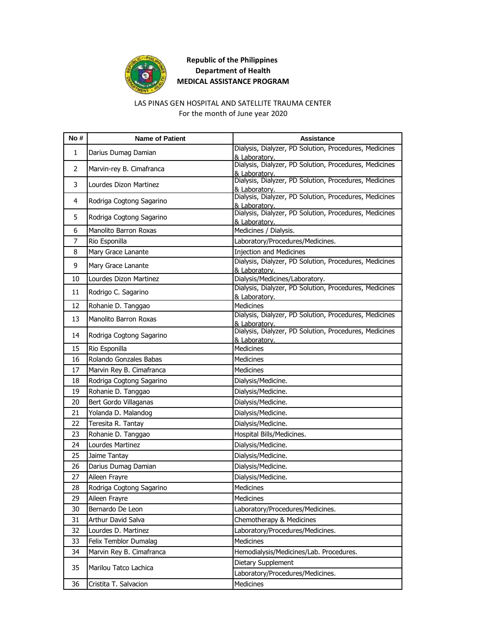

#### LAS PINAS GEN HOSPITAL AND SATELLITE TRAUMA CENTER

For the month of June year 2020

| No# | <b>Name of Patient</b>   | <b>Assistance</b>                                                       |
|-----|--------------------------|-------------------------------------------------------------------------|
| 1   | Darius Dumag Damian      | Dialysis, Dialyzer, PD Solution, Procedures, Medicines<br>& Laboratory. |
| 2   | Marvin-rey B. Cimafranca | Dialysis, Dialyzer, PD Solution, Procedures, Medicines                  |
| 3   | Lourdes Dizon Martinez   | & Laboratory.<br>Dialysis, Dialyzer, PD Solution, Procedures, Medicines |
| 4   | Rodriga Cogtong Sagarino | & Laboratory.<br>Dialysis, Dialyzer, PD Solution, Procedures, Medicines |
| 5   | Rodriga Cogtong Sagarino | & Laboratory.<br>Dialysis, Dialyzer, PD Solution, Procedures, Medicines |
|     |                          | & Laboratory.                                                           |
| 6   | Manolito Barron Roxas    | Medicines / Dialysis.                                                   |
| 7   | Rio Esponilla            | Laboratory/Procedures/Medicines.                                        |
| 8   | Mary Grace Lanante       | <b>Injection and Medicines</b>                                          |
| 9   | Mary Grace Lanante       | Dialysis, Dialyzer, PD Solution, Procedures, Medicines<br>& Laboratory. |
| 10  | Lourdes Dizon Martinez   | Dialysis/Medicines/Laboratory.                                          |
| 11  | Rodrigo C. Sagarino      | Dialysis, Dialyzer, PD Solution, Procedures, Medicines<br>& Laboratory. |
| 12  | Rohanie D. Tanggao       | <b>Medicines</b>                                                        |
| 13  | Manolito Barron Roxas    | Dialysis, Dialyzer, PD Solution, Procedures, Medicines<br>& Laboratory. |
| 14  | Rodriga Cogtong Sagarino | Dialysis, Dialyzer, PD Solution, Procedures, Medicines<br>& Laboratory. |
| 15  | Rio Esponilla            | <b>Medicines</b>                                                        |
| 16  | Rolando Gonzales Babas   | <b>Medicines</b>                                                        |
| 17  | Marvin Rey B. Cimafranca | <b>Medicines</b>                                                        |
| 18  | Rodriga Cogtong Sagarino | Dialysis/Medicine.                                                      |
| 19  | Rohanie D. Tanggao       | Dialysis/Medicine.                                                      |
| 20  | Bert Gordo Villaganas    | Dialysis/Medicine.                                                      |
| 21  | Yolanda D. Malandog      | Dialysis/Medicine.                                                      |
| 22  | Teresita R. Tantay       | Dialysis/Medicine.                                                      |
| 23  | Rohanie D. Tanggao       | Hospital Bills/Medicines.                                               |
| 24  | Lourdes Martinez         | Dialysis/Medicine.                                                      |
| 25  | Jaime Tantay             | Dialysis/Medicine.                                                      |
| 26  | Darius Dumag Damian      | Dialysis/Medicine.                                                      |
| 27  | Aileen Frayre            | Dialysis/Medicine.                                                      |
| 28  | Rodriga Cogtong Sagarino | Medicines                                                               |
| 29  | Aileen Frayre            | Medicines                                                               |
| 30  | Bernardo De Leon         | Laboratory/Procedures/Medicines.                                        |
| 31  | Arthur David Salva       | Chemotherapy & Medicines                                                |
| 32  | Lourdes D. Martinez      | Laboratory/Procedures/Medicines.                                        |
| 33  | Felix Temblor Dumalag    | Medicines                                                               |
| 34  | Marvin Rey B. Cimafranca | Hemodialysis/Medicines/Lab. Procedures.                                 |
|     |                          | Dietary Supplement                                                      |
| 35  | Marilou Tatco Lachica    | Laboratory/Procedures/Medicines.                                        |
| 36  | Cristita T. Salvacion    | Medicines                                                               |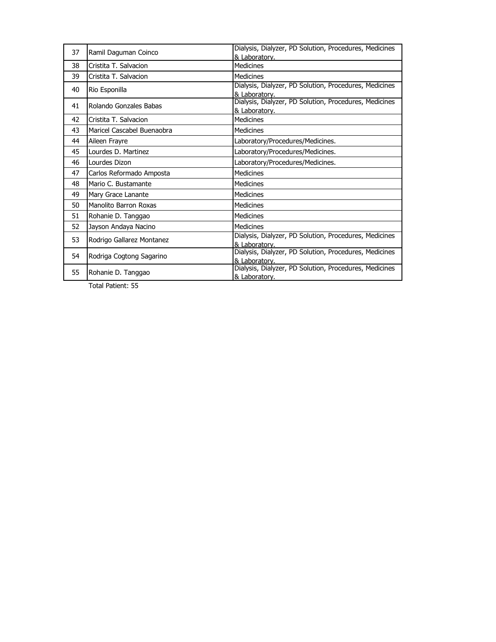| 37 | Ramil Daguman Coinco         | Dialysis, Dialyzer, PD Solution, Procedures, Medicines<br>& Laboratory. |
|----|------------------------------|-------------------------------------------------------------------------|
| 38 | Cristita T. Salvacion        | Medicines                                                               |
| 39 | Cristita T. Salvacion        | <b>Medicines</b>                                                        |
| 40 | Rio Esponilla                | Dialysis, Dialyzer, PD Solution, Procedures, Medicines<br>& Laboratory. |
| 41 | Rolando Gonzales Babas       | Dialysis, Dialyzer, PD Solution, Procedures, Medicines<br>& Laboratory. |
| 42 | Cristita T. Salvacion        | <b>Medicines</b>                                                        |
| 43 | Maricel Cascabel Buenaobra   | <b>Medicines</b>                                                        |
| 44 | Aileen Frayre                | Laboratory/Procedures/Medicines.                                        |
| 45 | Lourdes D. Martinez          | Laboratory/Procedures/Medicines.                                        |
| 46 | Lourdes Dizon                | Laboratory/Procedures/Medicines.                                        |
| 47 | Carlos Reformado Amposta     | Medicines                                                               |
| 48 | Mario C. Bustamante          | Medicines                                                               |
| 49 | Mary Grace Lanante           | Medicines                                                               |
| 50 | <b>Manolito Barron Roxas</b> | <b>Medicines</b>                                                        |
| 51 | Rohanie D. Tanggao           | Medicines                                                               |
| 52 | Jayson Andaya Nacino         | <b>Medicines</b>                                                        |
| 53 | Rodrigo Gallarez Montanez    | Dialysis, Dialyzer, PD Solution, Procedures, Medicines<br>& Laboratory. |
| 54 | Rodriga Cogtong Sagarino     | Dialysis, Dialyzer, PD Solution, Procedures, Medicines<br>& Laboratory. |
| 55 | Rohanie D. Tanggao           | Dialysis, Dialyzer, PD Solution, Procedures, Medicines<br>& Laboratory. |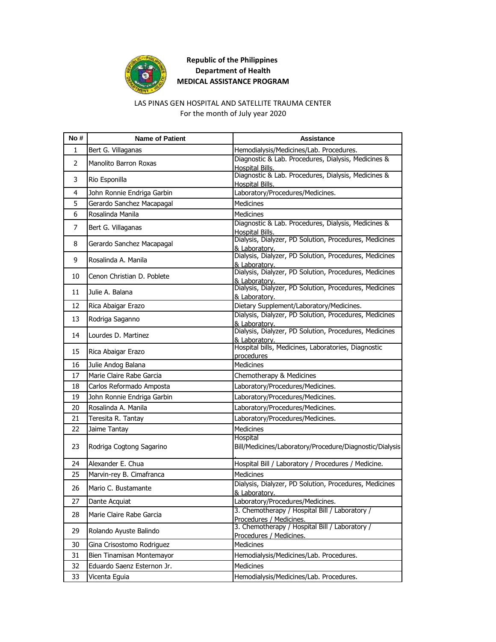

# LAS PINAS GEN HOSPITAL AND SATELLITE TRAUMA CENTER

For the month of July year 2020

| No #           | <b>Name of Patient</b>       | <b>Assistance</b>                                                             |
|----------------|------------------------------|-------------------------------------------------------------------------------|
| 1              | Bert G. Villaganas           | Hemodialysis/Medicines/Lab. Procedures.                                       |
| $\overline{2}$ | <b>Manolito Barron Roxas</b> | Diagnostic & Lab. Procedures, Dialysis, Medicines &<br>Hospital Bills.        |
| 3              | Rio Esponilla                | Diagnostic & Lab. Procedures, Dialysis, Medicines &<br><b>Hospital Bills.</b> |
| 4              | John Ronnie Endriga Garbin   | Laboratory/Procedures/Medicines.                                              |
| 5              | Gerardo Sanchez Macapagal    | <b>Medicines</b>                                                              |
| 6              | Rosalinda Manila             | <b>Medicines</b>                                                              |
| 7              | Bert G. Villaganas           | Diagnostic & Lab. Procedures, Dialysis, Medicines &<br>Hospital Bills.        |
| 8              | Gerardo Sanchez Macapagal    | Dialysis, Dialyzer, PD Solution, Procedures, Medicines<br>& Laboratory.       |
| 9              | Rosalinda A. Manila          | Dialysis, Dialyzer, PD Solution, Procedures, Medicines<br>& Laboratory.       |
| 10             | Cenon Christian D. Poblete   | Dialysis, Dialyzer, PD Solution, Procedures, Medicines<br>& Laboratory.       |
| 11             | Julie A. Balana              | Dialysis, Dialyzer, PD Solution, Procedures, Medicines<br>& Laboratory.       |
| 12             | Rica Abaigar Erazo           | Dietary Supplement/Laboratory/Medicines.                                      |
| 13             | Rodriga Saganno              | Dialysis, Dialyzer, PD Solution, Procedures, Medicines<br>& Laboratory.       |
| 14             | Lourdes D. Martinez          | Dialysis, Dialyzer, PD Solution, Procedures, Medicines<br>& Laboratory.       |
| 15             | Rica Abaigar Erazo           | Hospital bills, Medicines, Laboratories, Diagnostic<br>procedures             |
| 16             | Julie Andog Balana           | <b>Medicines</b>                                                              |
| 17             | Marie Claire Rabe Garcia     | Chemotherapy & Medicines                                                      |
| 18             | Carlos Reformado Amposta     | Laboratory/Procedures/Medicines.                                              |
| 19             | John Ronnie Endriga Garbin   | Laboratory/Procedures/Medicines.                                              |
| 20             | Rosalinda A. Manila          | Laboratory/Procedures/Medicines.                                              |
| 21             | Teresita R. Tantay           | Laboratory/Procedures/Medicines.                                              |
| 22             | Jaime Tantay                 | <b>Medicines</b>                                                              |
| 23             | Rodriga Cogtong Sagarino     | Hospital<br>Bill/Medicines/Laboratory/Procedure/Diagnostic/Dialysis           |
| 24             | Alexander E. Chua            | Hospital Bill / Laboratory / Procedures / Medicine.                           |
| 25             | Marvin-rey B. Cimafranca     | <b>Medicines</b>                                                              |
| 26             | Mario C. Bustamante          | Dialysis, Dialyzer, PD Solution, Procedures, Medicines<br>& Laboratory.       |
| 27             | Dante Acquiat                | Laboratory/Procedures/Medicines.                                              |
| 28             | Marie Claire Rabe Garcia     | 3. Chemotherapy / Hospital Bill / Laboratory /<br>Procedures / Medicines.     |
| 29             | Rolando Ayuste Balindo       | 3. Chemotherapy / Hospital Bill / Laboratory /<br>Procedures / Medicines.     |
| 30             | Gina Crisostomo Rodriguez    | Medicines                                                                     |
| 31             | Bien Tinamisan Montemayor    | Hemodialysis/Medicines/Lab. Procedures.                                       |
| 32             | Eduardo Saenz Esternon Jr.   | Medicines                                                                     |
| 33             | Vicenta Eguia                | Hemodialysis/Medicines/Lab. Procedures.                                       |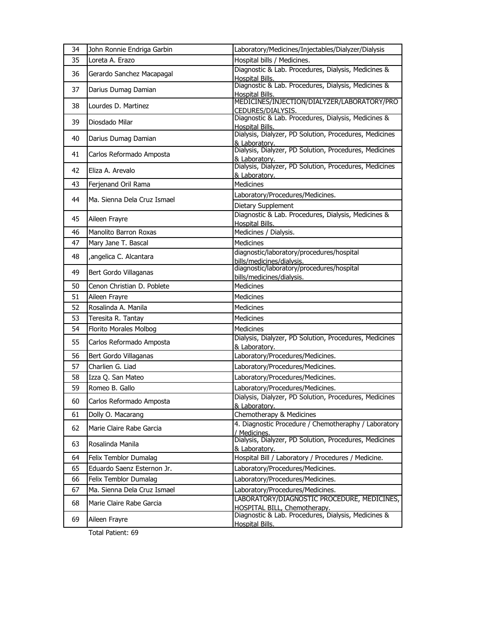| 34 | John Ronnie Endriga Garbin  | Laboratory/Medicines/Injectables/Dialyzer/Dialysis                          |
|----|-----------------------------|-----------------------------------------------------------------------------|
| 35 | Loreta A. Erazo             | Hospital bills / Medicines.                                                 |
| 36 | Gerardo Sanchez Macapagal   | Diagnostic & Lab. Procedures, Dialysis, Medicines &<br>Hospital Bills.      |
| 37 | Darius Dumag Damian         | Diagnostic & Lab. Procedures, Dialysis, Medicines &<br>Hospital Bills.      |
| 38 | Lourdes D. Martinez         | MEDICINES/INJECTION/DIALYZER/LABORATORY/PRO<br>CEDURES/DIALYSIS.            |
| 39 | Diosdado Milar              | Diagnostic & Lab. Procedures, Dialysis, Medicines &<br>Hospital Bills.      |
| 40 | Darius Dumag Damian         | Dialysis, Dialyzer, PD Solution, Procedures, Medicines<br>& Laboratory.     |
| 41 | Carlos Reformado Amposta    | Dialysis, Dialyzer, PD Solution, Procedures, Medicines<br>& Laboratory.     |
| 42 | Eliza A. Arevalo            | Dialysis, Dialyzer, PD Solution, Procedures, Medicines<br>& Laboratory.     |
| 43 | Ferjenand Oril Rama         | <b>Medicines</b>                                                            |
| 44 | Ma. Sienna Dela Cruz Ismael | Laboratory/Procedures/Medicines.                                            |
|    |                             | Dietary Supplement                                                          |
| 45 | Aileen Frayre               | Diagnostic & Lab. Procedures, Dialysis, Medicines &<br>Hospital Bills.      |
| 46 | Manolito Barron Roxas       | Medicines / Dialysis.                                                       |
| 47 | Mary Jane T. Bascal         | <b>Medicines</b>                                                            |
| 48 | , angelica C. Alcantara     | diagnostic/laboratory/procedures/hospital<br>bills/medicines/dialysis.      |
| 49 | Bert Gordo Villaganas       | diagnostic/laboratory/procedures/hospital<br>bills/medicines/dialysis.      |
| 50 | Cenon Christian D. Poblete  | <b>Medicines</b>                                                            |
| 51 | Aileen Frayre               | Medicines                                                                   |
| 52 | Rosalinda A. Manila         | <b>Medicines</b>                                                            |
| 53 | Teresita R. Tantay          | <b>Medicines</b>                                                            |
| 54 | Florito Morales Molbog      | <b>Medicines</b>                                                            |
| 55 | Carlos Reformado Amposta    | Dialysis, Dialyzer, PD Solution, Procedures, Medicines<br>& Laboratory.     |
| 56 | Bert Gordo Villaganas       | Laboratory/Procedures/Medicines.                                            |
| 57 | Charlien G. Liad            | Laboratory/Procedures/Medicines.                                            |
| 58 | Izza Q. San Mateo           | Laboratory/Procedures/Medicines.                                            |
| 59 | Romeo B. Gallo              | Laboratory/Procedures/Medicines.                                            |
| 60 | Carlos Reformado Amposta    | Dialysis, Dialyzer, PD Solution, Procedures, Medicines<br>& Laboratory.     |
| 61 | Dolly O. Macarang           | Chemotherapy & Medicines                                                    |
| 62 | Marie Claire Rabe Garcia    | 4. Diagnostic Procedure / Chemotheraphy / Laboratory<br>/ Medicines.        |
| 63 | Rosalinda Manila            | Dialysis, Dialyzer, PD Solution, Procedures, Medicines<br>& Laboratory.     |
| 64 | Felix Temblor Dumalag       | Hospital Bill / Laboratory / Procedures / Medicine.                         |
| 65 | Eduardo Saenz Esternon Jr.  | Laboratory/Procedures/Medicines.                                            |
| 66 | Felix Temblor Dumalag       | Laboratory/Procedures/Medicines.                                            |
| 67 | Ma. Sienna Dela Cruz Ismael | Laboratory/Procedures/Medicines.                                            |
| 68 | Marie Claire Rabe Garcia    | LABORATORY/DIAGNOSTIC PROCEDURE, MEDICINES,<br>HOSPITAL BILL, Chemotherapy. |
| 69 | Aileen Frayre               | Diagnostic & Lab. Procedures, Dialysis, Medicines &<br>Hospital Bills.      |
|    |                             |                                                                             |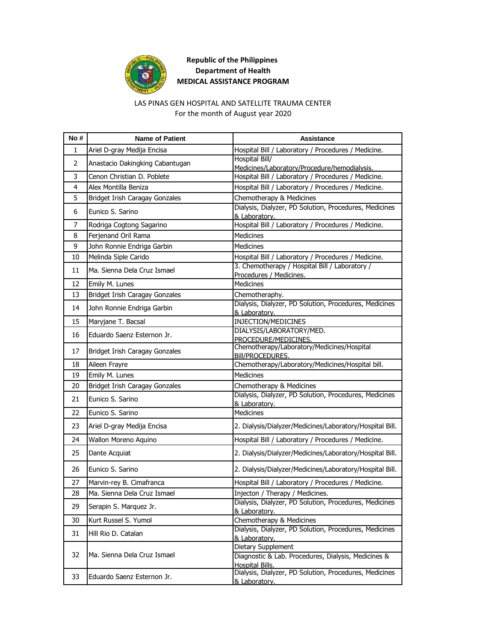

#### LAS PINAS GEN HOSPITAL AND SATELLITE TRAUMA CENTER

For the month of August year 2020

| No#            | <b>Name of Patient</b>          | <b>Assistance</b>                                                         |
|----------------|---------------------------------|---------------------------------------------------------------------------|
| 1              | Ariel D-gray Medija Encisa      | Hospital Bill / Laboratory / Procedures / Medicine.                       |
| 2              | Anastacio Dakingking Cabantugan | Hospital Bill/<br>Medicines/Laboratory/Procedure/hemodialysis.            |
| 3              | Cenon Christian D. Poblete      | Hospital Bill / Laboratory / Procedures / Medicine.                       |
| 4              | Alex Montilla Beniza            | Hospital Bill / Laboratory / Procedures / Medicine.                       |
| 5              | Bridget Irish Caragay Gonzales  | Chemotherapy & Medicines                                                  |
| 6              | Eunico S. Sarino                | Dialysis, Dialyzer, PD Solution, Procedures, Medicines<br>& Laboratory.   |
| $\overline{7}$ | Rodriga Cogtong Sagarino        | Hospital Bill / Laboratory / Procedures / Medicine.                       |
| 8              | Ferjenand Oril Rama             | <b>Medicines</b>                                                          |
| 9              | John Ronnie Endriga Garbin      | <b>Medicines</b>                                                          |
| 10             | Melinda Siple Carido            | Hospital Bill / Laboratory / Procedures / Medicine.                       |
| 11             | Ma. Sienna Dela Cruz Ismael     | 3. Chemotherapy / Hospital Bill / Laboratory /<br>Procedures / Medicines. |
| 12             | Emily M. Lunes                  | <b>Medicines</b>                                                          |
| 13             | Bridget Irish Caragay Gonzales  | Chemotheraphy.                                                            |
| 14             | John Ronnie Endriga Garbin      | Dialysis, Dialyzer, PD Solution, Procedures, Medicines<br>& Laboratory.   |
| 15             | Maryjane T. Bacsal              | INJECTION/MEDICINES                                                       |
| 16             | Eduardo Saenz Esternon Jr.      | DIALYSIS/LABORATORY/MED.<br>PROCEDURE/MEDICINES.                          |
| 17             | Bridget Irish Caragay Gonzales  | Chemotherapy/Laboratory/Medicines/Hospital<br>Bill/PROCEDURES.            |
| 18             | Aileen Frayre                   | Chemotherapy/Laboratory/Medicines/Hospital bill.                          |
| 19             | Emily M. Lunes                  | <b>Medicines</b>                                                          |
| 20             | Bridget Irish Caragay Gonzales  | Chemotherapy & Medicines                                                  |
| 21             | Eunico S. Sarino                | Dialysis, Dialyzer, PD Solution, Procedures, Medicines<br>& Laboratory.   |
| 22             | Eunico S. Sarino                | <b>Medicines</b>                                                          |
| 23             | Ariel D-gray Medija Encisa      | 2. Dialysis/Dialyzer/Medicines/Laboratory/Hospital Bill.                  |
| 24             | Wallon Moreno Aquino            | Hospital Bill / Laboratory / Procedures / Medicine.                       |
| 25             | Dante Acquiat                   | 2. Dialysis/Dialyzer/Medicines/Laboratory/Hospital Bill.                  |
| 26             | Eunico S. Sarino                | 2. Dialysis/Dialyzer/Medicines/Laboratory/Hospital Bill.                  |
| 27             | Marvin-rey B. Cimafranca        | Hospital Bill / Laboratory / Procedures / Medicine.                       |
| 28             | Ma. Sienna Dela Cruz Ismael     | Injecton / Therapy / Medicines.                                           |
| 29             | Serapin S. Marquez Jr.          | Dialysis, Dialyzer, PD Solution, Procedures, Medicines<br>& Laboratory.   |
| 30             | Kurt Russel S. Yumol            | Chemotherapy & Medicines                                                  |
| 31             | Hill Rio D. Catalan             | Dialysis, Dialyzer, PD Solution, Procedures, Medicines<br>& Laboratory.   |
|                | Ma. Sienna Dela Cruz Ismael     | Dietary Supplement                                                        |
| 32             |                                 | Diagnostic & Lab. Procedures, Dialysis, Medicines &<br>Hospital Bills.    |
| 33             | Eduardo Saenz Esternon Jr.      | Dialysis, Dialyzer, PD Solution, Procedures, Medicines<br>& Laboratory.   |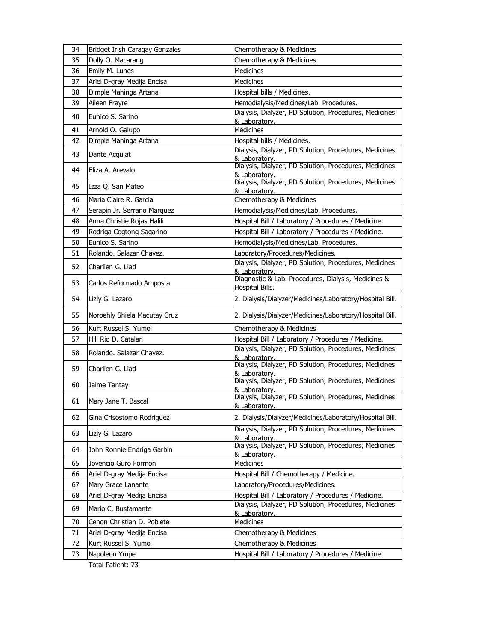| 34 | Bridget Irish Caragay Gonzales | Chemotherapy & Medicines                                                      |
|----|--------------------------------|-------------------------------------------------------------------------------|
| 35 | Dolly O. Macarang              | Chemotherapy & Medicines                                                      |
| 36 | Emily M. Lunes                 | <b>Medicines</b>                                                              |
| 37 | Ariel D-gray Medija Encisa     | <b>Medicines</b>                                                              |
| 38 | Dimple Mahinga Artana          | Hospital bills / Medicines.                                                   |
| 39 | Aileen Frayre                  | Hemodialysis/Medicines/Lab. Procedures.                                       |
| 40 | Eunico S. Sarino               | Dialysis, Dialyzer, PD Solution, Procedures, Medicines<br>& Laboratory.       |
| 41 | Arnold O. Galupo               | Medicines                                                                     |
| 42 | Dimple Mahinga Artana          | Hospital bills / Medicines.                                                   |
| 43 | Dante Acquiat                  | Dialysis, Dialyzer, PD Solution, Procedures, Medicines<br>& Laboratory.       |
| 44 | Eliza A. Arevalo               | Dialysis, Dialyzer, PD Solution, Procedures, Medicines<br>& Laboratory.       |
| 45 | Izza Q. San Mateo              | Dialysis, Dialyzer, PD Solution, Procedures, Medicines<br>& Laboratory.       |
| 46 | Maria Claire R. Garcia         | Chemotherapy & Medicines                                                      |
| 47 | Serapin Jr. Serrano Marquez    | Hemodialysis/Medicines/Lab. Procedures.                                       |
| 48 | Anna Christie Rojas Halili     | Hospital Bill / Laboratory / Procedures / Medicine.                           |
| 49 | Rodriga Cogtong Sagarino       | Hospital Bill / Laboratory / Procedures / Medicine.                           |
| 50 | Eunico S. Sarino               | Hemodialysis/Medicines/Lab. Procedures.                                       |
| 51 | Rolando. Salazar Chavez.       | Laboratory/Procedures/Medicines.                                              |
| 52 | Charlien G. Liad               | Dialysis, Dialyzer, PD Solution, Procedures, Medicines<br>& Laboratory.       |
| 53 | Carlos Reformado Amposta       | Diagnostic & Lab. Procedures, Dialysis, Medicines &<br><b>Hospital Bills.</b> |
| 54 | Lizly G. Lazaro                | 2. Dialysis/Dialyzer/Medicines/Laboratory/Hospital Bill.                      |
| 55 | Noroehly Shiela Macutay Cruz   | 2. Dialysis/Dialyzer/Medicines/Laboratory/Hospital Bill.                      |
| 56 | Kurt Russel S. Yumol           | Chemotherapy & Medicines                                                      |
| 57 | Hill Rio D. Catalan            | Hospital Bill / Laboratory / Procedures / Medicine.                           |
| 58 | Rolando, Salazar Chavez.       | Dialysis, Dialyzer, PD Solution, Procedures, Medicines<br>& Laboratory.       |
| 59 | Charlien G. Liad               | Dialysis, Dialyzer, PD Solution, Procedures, Medicines<br>& Laboratory.       |
| 60 | Jaime Tantay                   | Dialysis, Dialyzer, PD Solution, Procedures, Medicines<br>& Laboratory.       |
| 61 | Mary Jane T. Bascal            | Dialysis, Dialyzer, PD Solution, Procedures, Medicines<br>& Laboratory.       |
| 62 | Gina Crisostomo Rodriguez      | 2. Dialysis/Dialyzer/Medicines/Laboratory/Hospital Bill.                      |
| 63 | Lizly G. Lazaro                | Dialysis, Dialyzer, PD Solution, Procedures, Medicines<br>& Laboratory.       |
| 64 | John Ronnie Endriga Garbin     | Dialysis, Dialyzer, PD Solution, Procedures, Medicines<br>& Laboratory.       |
| 65 | Jovencio Guro Formon           | Medicines                                                                     |
| 66 | Ariel D-gray Medija Encisa     | Hospital Bill / Chemotherapy / Medicine.                                      |
| 67 | Mary Grace Lanante             | Laboratory/Procedures/Medicines.                                              |
| 68 | Ariel D-gray Medija Encisa     | Hospital Bill / Laboratory / Procedures / Medicine.                           |
| 69 | Mario C. Bustamante            | Dialysis, Dialyzer, PD Solution, Procedures, Medicines<br>& Laboratory.       |
| 70 | Cenon Christian D. Poblete     | <b>Medicines</b>                                                              |
| 71 | Ariel D-gray Medija Encisa     | Chemotherapy & Medicines                                                      |
| 72 | Kurt Russel S. Yumol           | Chemotherapy & Medicines                                                      |
| 73 | Napoleon Ympe                  | Hospital Bill / Laboratory / Procedures / Medicine.                           |
|    | Total Patient: 73              |                                                                               |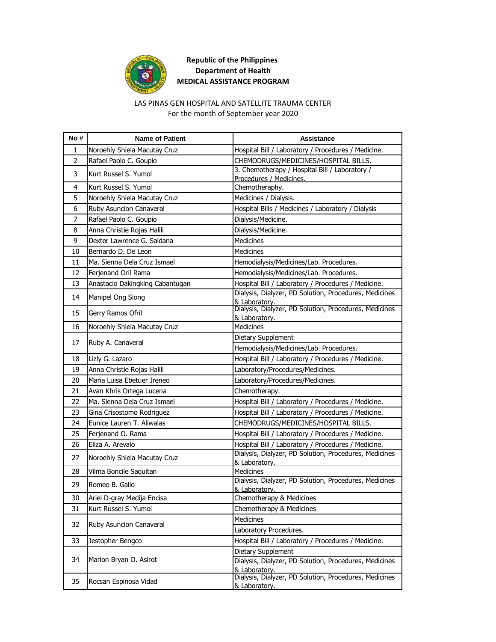

#### LAS PINAS GEN HOSPITAL AND SATELLITE TRAUMA CENTER

For the month of September year 2020

| No#            | <b>Name of Patient</b>          | Assistance                                                                |
|----------------|---------------------------------|---------------------------------------------------------------------------|
| 1              | Noroehly Shiela Macutay Cruz    | Hospital Bill / Laboratory / Procedures / Medicine.                       |
| $\overline{2}$ | Rafael Paolo C. Goupio          | CHEMODRUGS/MEDICINES/HOSPITAL BILLS.                                      |
| 3              | Kurt Russel S. Yumol            | 3. Chemotherapy / Hospital Bill / Laboratory /<br>Procedures / Medicines. |
| 4              | Kurt Russel S. Yumol            | Chemotheraphy.                                                            |
| 5              | Noroehly Shiela Macutay Cruz    | Medicines / Dialysis.                                                     |
| 6              | Ruby Asuncion Canaveral         | Hospital Bills / Medicines / Laboratory / Dialysis                        |
| 7              | Rafael Paolo C. Goupio          | Dialysis/Medicine.                                                        |
| 8              | Anna Christie Rojas Halili      | Dialysis/Medicine.                                                        |
| 9              | Dexter Lawrence G. Saldana      | Medicines                                                                 |
| 10             | Bernardo D. De Leon             | Medicines                                                                 |
| 11             | Ma. Sienna Dela Cruz Ismael     | Hemodialysis/Medicines/Lab. Procedures.                                   |
| 12             | Ferjenand Oril Rama             | Hemodialysis/Medicines/Lab. Procedures.                                   |
| 13             | Anastacio Dakingking Cabantugan | Hospital Bill / Laboratory / Procedures / Medicine.                       |
| 14             | Manipel Ong Siong               | Dialysis, Dialyzer, PD Solution, Procedures, Medicines<br>& Laboratory.   |
| 15             | Gerry Ramos Ofril               | Dialysis, Dialyzer, PD Solution, Procedures, Medicines<br>& Laboratory.   |
| 16             | Noroehly Shiela Macutay Cruz    | <b>Medicines</b>                                                          |
|                |                                 | Dietary Supplement                                                        |
| 17             | Ruby A. Canaveral               | Hemodialysis/Medicines/Lab. Procedures.                                   |
| 18             | Lizly G. Lazaro                 | Hospital Bill / Laboratory / Procedures / Medicine.                       |
| 19             | Anna Christie Rojas Halili      | Laboratory/Procedures/Medicines.                                          |
| 20             | Maria Luisa Ebetuer Ireneo      | Laboratory/Procedures/Medicines.                                          |
| 21             | Avan Khris Ortega Lucena        | Chemotherapy.                                                             |
| 22             | Ma. Sienna Dela Cruz Ismael     | Hospital Bill / Laboratory / Procedures / Medicine.                       |
| 23             | Gina Crisostomo Rodriguez       | Hospital Bill / Laboratory / Procedures / Medicine.                       |
| 24             | Eunice Lauren T. Aliwalas       | CHEMODRUGS/MEDICINES/HOSPITAL BILLS.                                      |
| 25             | Ferjenand O. Rama               | Hospital Bill / Laboratory / Procedures / Medicine.                       |
| 26             | Eliza A. Arevalo                | Hospital Bill / Laboratory / Procedures / Medicine.                       |
| 27             | Noroehly Shiela Macutay Cruz    | Dialysis, Dialyzer, PD Solution, Procedures, Medicines<br>& Laboratory.   |
| 28             | Vilma Boncile Saquitan          | Medicines                                                                 |
| 29             | Romeo B. Gallo                  | Dialysis, Dialyzer, PD Solution, Procedures, Medicines<br>& Laboratory.   |
| 30             | Ariel D-gray Medija Encisa      | Chemotherapy & Medicines                                                  |
| 31             | Kurt Russel S. Yumol            | Chemotherapy & Medicines                                                  |
| 32             | Ruby Asuncion Canaveral         | <b>Medicines</b>                                                          |
|                |                                 | Laboratory Procedures.                                                    |
| 33             | Jestopher Bengco                | Hospital Bill / Laboratory / Procedures / Medicine.                       |
|                |                                 | Dietary Supplement                                                        |
| 34             | Marlon Bryan O. Asirot          | Dialysis, Dialyzer, PD Solution, Procedures, Medicines<br>& Laboratory.   |
| 35             | Rocsan Espinosa Vidad           | Dialysis, Dialyzer, PD Solution, Procedures, Medicines<br>& Laboratory.   |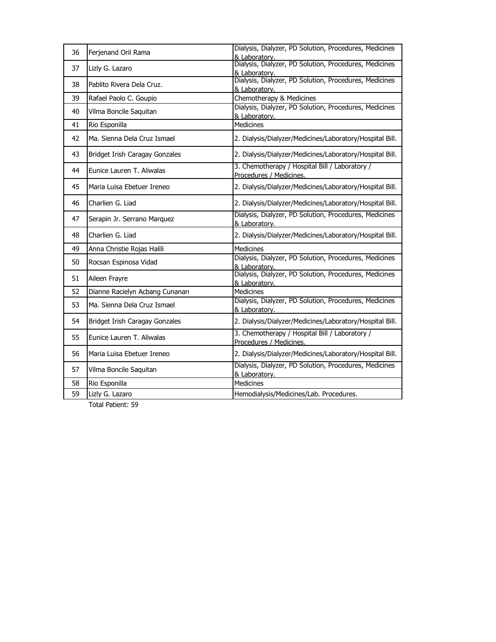| 36 | Ferjenand Oril Rama            | Dialysis, Dialyzer, PD Solution, Procedures, Medicines<br>& Laboratory.   |
|----|--------------------------------|---------------------------------------------------------------------------|
| 37 | Lizly G. Lazaro                | Dialysis, Dialyzer, PD Solution, Procedures, Medicines<br>& Laboratory.   |
| 38 | Pablito Rivera Dela Cruz.      | Dialysis, Dialyzer, PD Solution, Procedures, Medicines<br>& Laboratory.   |
| 39 | Rafael Paolo C. Goupio         | Chemotherapy & Medicines                                                  |
| 40 | Vilma Boncile Saquitan         | Dialysis, Dialyzer, PD Solution, Procedures, Medicines<br>& Laboratory.   |
| 41 | Rio Esponilla                  | <b>Medicines</b>                                                          |
| 42 | Ma. Sienna Dela Cruz Ismael    | 2. Dialysis/Dialyzer/Medicines/Laboratory/Hospital Bill.                  |
| 43 | Bridget Irish Caragay Gonzales | 2. Dialysis/Dialyzer/Medicines/Laboratory/Hospital Bill.                  |
| 44 | Eunice Lauren T. Aliwalas      | 3. Chemotherapy / Hospital Bill / Laboratory /<br>Procedures / Medicines. |
| 45 | Maria Luisa Ebetuer Ireneo     | 2. Dialysis/Dialyzer/Medicines/Laboratory/Hospital Bill.                  |
| 46 | Charlien G. Liad               | 2. Dialysis/Dialyzer/Medicines/Laboratory/Hospital Bill.                  |
| 47 | Serapin Jr. Serrano Marquez    | Dialysis, Dialyzer, PD Solution, Procedures, Medicines<br>& Laboratory.   |
| 48 | Charlien G. Liad               | 2. Dialysis/Dialyzer/Medicines/Laboratory/Hospital Bill.                  |
| 49 | Anna Christie Rojas Halili     | Medicines                                                                 |
| 50 | Rocsan Espinosa Vidad          | Dialysis, Dialyzer, PD Solution, Procedures, Medicines<br>& Laboratory.   |
| 51 | Aileen Frayre                  | Dialysis, Dialyzer, PD Solution, Procedures, Medicines<br>& Laboratory.   |
| 52 | Dianne Racielyn Acbang Cunanan | <b>Medicines</b>                                                          |
| 53 | Ma. Sienna Dela Cruz Ismael    | Dialysis, Dialyzer, PD Solution, Procedures, Medicines<br>& Laboratory.   |
| 54 | Bridget Irish Caragay Gonzales | 2. Dialysis/Dialyzer/Medicines/Laboratory/Hospital Bill.                  |
| 55 | Eunice Lauren T. Aliwalas      | 3. Chemotherapy / Hospital Bill / Laboratory /<br>Procedures / Medicines. |
| 56 | Maria Luisa Ebetuer Ireneo     | 2. Dialysis/Dialyzer/Medicines/Laboratory/Hospital Bill.                  |
| 57 | Vilma Boncile Saquitan         | Dialysis, Dialyzer, PD Solution, Procedures, Medicines<br>& Laboratory.   |
| 58 | Rio Esponilla                  | <b>Medicines</b>                                                          |
| 59 | Lizly G. Lazaro                | Hemodialysis/Medicines/Lab. Procedures.                                   |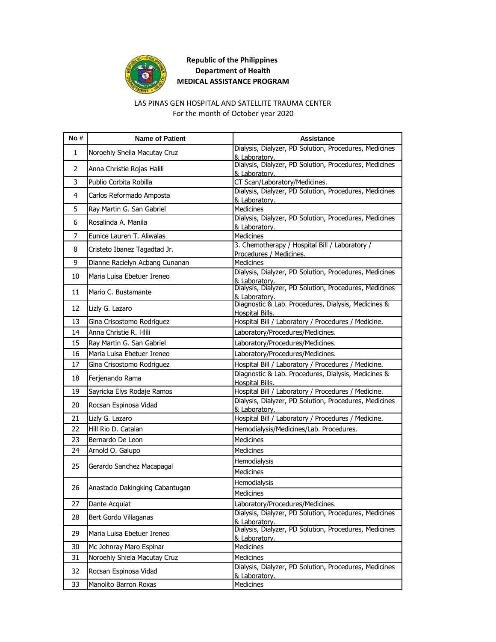

#### LAS PINAS GEN HOSPITAL AND SATELLITE TRAUMA CENTER

For the month of October year 2020

| No #         | <b>Name of Patient</b>          | Assistance                                                                    |
|--------------|---------------------------------|-------------------------------------------------------------------------------|
| $\mathbf{1}$ | Noroehly Sheila Macutay Cruz    | Dialysis, Dialyzer, PD Solution, Procedures, Medicines<br>& Laboratory.       |
| 2            | Anna Christie Rojas Halili      | Dialysis, Dialyzer, PD Solution, Procedures, Medicines<br>& Laboratory.       |
| 3            | Publio Corbita Robilla          | CT Scan/Laboratory/Medicines.                                                 |
| 4            | Carlos Reformado Amposta        | Dialysis, Dialyzer, PD Solution, Procedures, Medicines<br>& Laboratory.       |
| 5            | Ray Martin G. San Gabriel       | Medicines                                                                     |
| 6            | Rosalinda A. Manila             | Dialysis, Dialyzer, PD Solution, Procedures, Medicines<br>& Laboratory.       |
| 7            | Eunice Lauren T. Aliwalas       | <b>Medicines</b>                                                              |
| 8            | Cristeto Ibanez Tagadtad Jr.    | 3. Chemotherapy / Hospital Bill / Laboratory /<br>Procedures / Medicines.     |
| 9            | Dianne Racielyn Acbang Cunanan  | <b>Medicines</b>                                                              |
| 10           | Maria Luisa Ebetuer Ireneo      | Dialysis, Dialyzer, PD Solution, Procedures, Medicines<br>& Laboratory.       |
| 11           | Mario C. Bustamante             | Dialysis, Dialyzer, PD Solution, Procedures, Medicines<br>& Laboratory.       |
| 12           | Lizly G. Lazaro                 | Diagnostic & Lab. Procedures, Dialysis, Medicines &<br>Hospital Bills.        |
| 13           | Gina Crisostomo Rodriguez       | Hospital Bill / Laboratory / Procedures / Medicine.                           |
| 14           | Anna Christie R. Hlili          | Laboratory/Procedures/Medicines.                                              |
| 15           | Ray Martin G. San Gabriel       | Laboratory/Procedures/Medicines.                                              |
| 16           | Maria Luisa Ebetuer Ireneo      | Laboratory/Procedures/Medicines.                                              |
| 17           | Gina Crisostomo Rodriguez       | Hospital Bill / Laboratory / Procedures / Medicine.                           |
| 18           | Ferjenando Rama                 | Diagnostic & Lab. Procedures, Dialysis, Medicines &<br><b>Hospital Bills.</b> |
| 19           | Sayricka Elys Rodaje Ramos      | Hospital Bill / Laboratory / Procedures / Medicine.                           |
| 20           | Rocsan Espinosa Vidad           | Dialysis, Dialyzer, PD Solution, Procedures, Medicines<br>& Laboratory.       |
| 21           | Lizly G. Lazaro                 | Hospital Bill / Laboratory / Procedures / Medicine.                           |
| 22           | Hill Rio D. Catalan             | Hemodialysis/Medicines/Lab. Procedures.                                       |
| 23           | Bernardo De Leon                | <b>Medicines</b>                                                              |
| 24           | Arnold O. Galupo                | <b>Medicines</b>                                                              |
| 25           | Gerardo Sanchez Macapagal       | Hemodialysis                                                                  |
|              |                                 | <b>Medicines</b>                                                              |
| 26           | Anastacio Dakingking Cabantugan | Hemodialysis<br><b>Medicines</b>                                              |
| 27           | Dante Acquiat                   | Laboratory/Procedures/Medicines.                                              |
| 28           |                                 | Dialysis, Dialyzer, PD Solution, Procedures, Medicines                        |
|              | Bert Gordo Villaganas           | & Laboratory.                                                                 |
| 29           | Maria Luisa Ebetuer Ireneo      | Dialysis, Dialyzer, PD Solution, Procedures, Medicines<br>& Laboratory.       |
| 30           | Mc Johnray Maro Espinar         | Medicines                                                                     |
| 31           | Noroehly Shiela Macutay Cruz    | Medicines                                                                     |
| 32           | Rocsan Espinosa Vidad           | Dialysis, Dialyzer, PD Solution, Procedures, Medicines<br>& Laboratory.       |
| 33           | Manolito Barron Roxas           | Medicines                                                                     |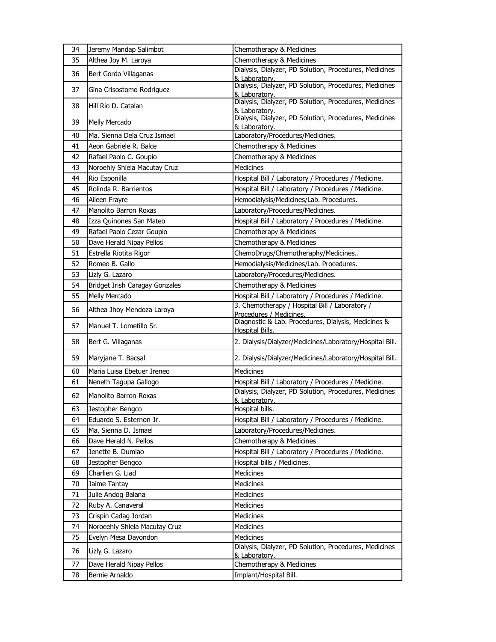| 34 | Jeremy Mandap Salimbot                      | Chemotherapy & Medicines                                                  |
|----|---------------------------------------------|---------------------------------------------------------------------------|
| 35 | Althea Joy M. Laroya                        | Chemotherapy & Medicines                                                  |
| 36 | Bert Gordo Villaganas                       | Dialysis, Dialyzer, PD Solution, Procedures, Medicines<br>& Laboratory.   |
| 37 | Gina Crisostomo Rodriguez                   | Dialysis, Dialyzer, PD Solution, Procedures, Medicines<br>& Laboratory.   |
| 38 | Hill Rio D. Catalan                         | Dialysis, Dialyzer, PD Solution, Procedures, Medicines<br>& Laboratory.   |
| 39 | Melly Mercado                               | Dialysis, Dialyzer, PD Solution, Procedures, Medicines<br>& Laboratory.   |
| 40 | Ma. Sienna Dela Cruz Ismael                 | Laboratory/Procedures/Medicines.                                          |
| 41 | Aeon Gabriele R. Balce                      | Chemotherapy & Medicines                                                  |
| 42 | Rafael Paolo C. Goupio                      | Chemotherapy & Medicines                                                  |
| 43 | Noroehly Shiela Macutay Cruz                | <b>Medicines</b>                                                          |
| 44 | Rio Esponilla                               | Hospital Bill / Laboratory / Procedures / Medicine.                       |
| 45 | Rolinda R. Barrientos                       | Hospital Bill / Laboratory / Procedures / Medicine.                       |
| 46 | Aileen Frayre                               | Hemodialysis/Medicines/Lab. Procedures.                                   |
| 47 | Manolito Barron Roxas                       | Laboratory/Procedures/Medicines.                                          |
| 48 | Izza Quinones San Mateo                     | Hospital Bill / Laboratory / Procedures / Medicine.                       |
| 49 | Rafael Paolo Cezar Goupio                   | Chemotherapy & Medicines                                                  |
| 50 | Dave Herald Nipay Pellos                    | Chemotherapy & Medicines                                                  |
| 51 | Estrella Riotita Rigor                      | ChemoDrugs/Chemotheraphy/Medicines                                        |
| 52 | Romeo B. Gallo                              | Hemodialysis/Medicines/Lab. Procedures.                                   |
| 53 | Lizly G. Lazaro                             | Laboratory/Procedures/Medicines.                                          |
| 54 | Bridget Irish Caragay Gonzales              | Chemotherapy & Medicines                                                  |
| 55 | Melly Mercado                               | Hospital Bill / Laboratory / Procedures / Medicine.                       |
| 56 | Althea Jhoy Mendoza Laroya                  | 3. Chemotherapy / Hospital Bill / Laboratory /<br>Procedures / Medicines. |
|    |                                             | Diagnostic & Lab. Procedures, Dialysis, Medicines &                       |
| 57 | Manuel T. Lometillo Sr.                     | Hospital Bills.                                                           |
| 58 | Bert G. Villaganas                          | 2. Dialysis/Dialyzer/Medicines/Laboratory/Hospital Bill.                  |
| 59 | Maryjane T. Bacsal                          | 2. Dialysis/Dialyzer/Medicines/Laboratory/Hospital Bill.                  |
| 60 | Maria Luisa Ebetuer Ireneo                  | <b>Medicines</b>                                                          |
| 61 | Neneth Tagupa Gallogo                       | Hospital Bill / Laboratory / Procedures / Medicine.                       |
| 62 | Manolito Barron Roxas                       | Dialysis, Dialyzer, PD Solution, Procedures, Medicines                    |
| 63 |                                             | & Laboratory.<br>Hospital bills.                                          |
| 64 | Jestopher Bengco<br>Eduardo S. Esternon Jr. | Hospital Bill / Laboratory / Procedures / Medicine.                       |
| 65 | Ma. Sienna D. Ismael                        | Laboratory/Procedures/Medicines.                                          |
| 66 | Dave Herald N. Pellos                       | Chemotherapy & Medicines                                                  |
| 67 | Jenette B. Dumlao                           | Hospital Bill / Laboratory / Procedures / Medicine.                       |
| 68 | Jestopher Bengco                            | Hospital bills / Medicines.                                               |
| 69 | Charlien G. Liad                            | Medicines                                                                 |
| 70 | Jaime Tantay                                | Medicines                                                                 |
| 71 | Julie Andog Balana                          | <b>Medicines</b>                                                          |
| 72 | Ruby A. Canaveral                           | Medicines                                                                 |
| 73 | Crispin Cadag Jordan                        | Medicines                                                                 |
| 74 | Noroeehly Shiela Macutay Cruz               | <b>Medicines</b>                                                          |
| 75 | Evelyn Mesa Dayondon                        | Medicines                                                                 |
| 76 | Lizly G. Lazaro                             | Dialysis, Dialyzer, PD Solution, Procedures, Medicines                    |
| 77 | Dave Herald Nipay Pellos                    | & Laboratory.<br>Chemotherapy & Medicines                                 |